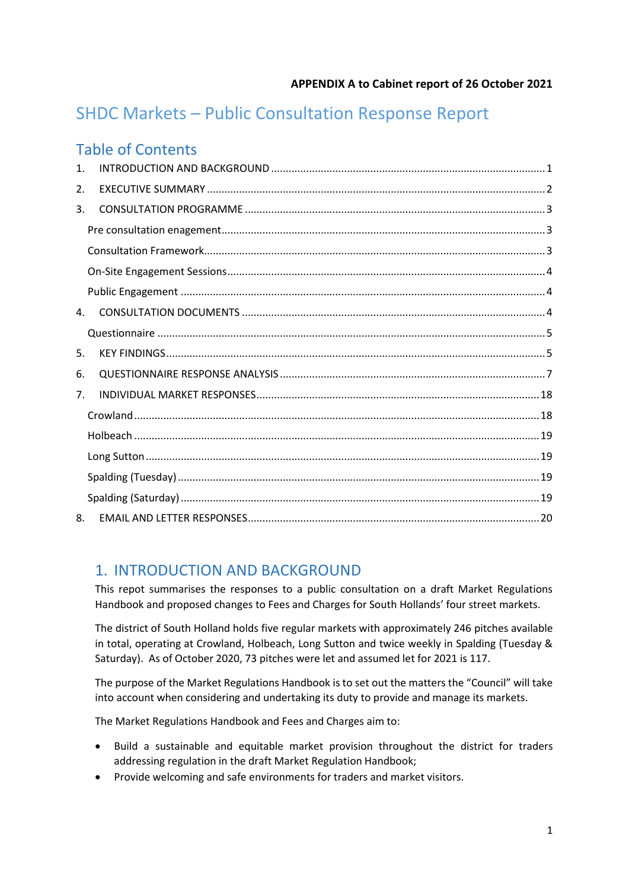# SHDC Markets – Public Consultation Response Report

## Table of Contents

| $\mathbf{1}$ . |  |
|----------------|--|
| 2.             |  |
| 3.             |  |
|                |  |
|                |  |
|                |  |
|                |  |
| $\mathbf{4}$ . |  |
|                |  |
| 5.             |  |
| 6.             |  |
| 7 <sub>1</sub> |  |
|                |  |
|                |  |
|                |  |
|                |  |
|                |  |
| 8.             |  |

## <span id="page-0-0"></span>1. INTRODUCTION AND BACKGROUND

This repot summarises the responses to a public consultation on a draft Market Regulations Handbook and proposed changes to Fees and Charges for South Hollands' four street markets.

The district of South Holland holds five regular markets with approximately 246 pitches available in total, operating at Crowland, Holbeach, Long Sutton and twice weekly in Spalding (Tuesday & Saturday). As of October 2020, 73 pitches were let and assumed let for 2021 is 117.

The purpose of the Market Regulations Handbook is to set out the matters the "Council" will take into account when considering and undertaking its duty to provide and manage its markets.

The Market Regulations Handbook and Fees and Charges aim to:

- Build a sustainable and equitable market provision throughout the district for traders addressing regulation in the draft Market Regulation Handbook;
- Provide welcoming and safe environments for traders and market visitors.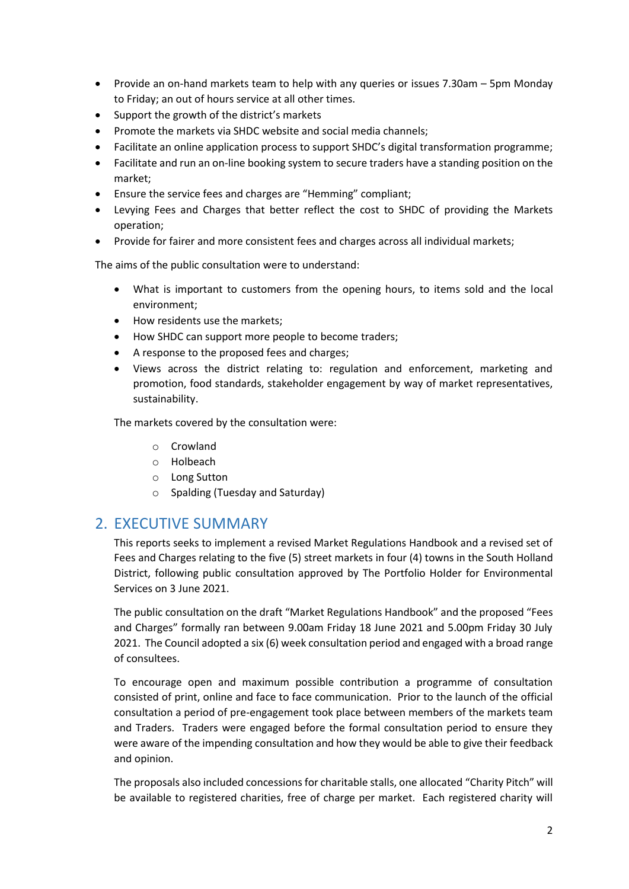- Provide an on-hand markets team to help with any queries or issues 7.30am 5pm Monday to Friday; an out of hours service at all other times.
- Support the growth of the district's markets
- Promote the markets via SHDC website and social media channels;
- Facilitate an online application process to support SHDC's digital transformation programme;
- Facilitate and run an on-line booking system to secure traders have a standing position on the market;
- Ensure the service fees and charges are "Hemming" compliant;
- Levying Fees and Charges that better reflect the cost to SHDC of providing the Markets operation;
- Provide for fairer and more consistent fees and charges across all individual markets;

The aims of the public consultation were to understand:

- What is important to customers from the opening hours, to items sold and the local environment;
- How residents use the markets;
- How SHDC can support more people to become traders;
- A response to the proposed fees and charges;
- Views across the district relating to: regulation and enforcement, marketing and promotion, food standards, stakeholder engagement by way of market representatives, sustainability.

The markets covered by the consultation were:

- o Crowland
- o Holbeach
- o Long Sutton
- o Spalding (Tuesday and Saturday)

### <span id="page-1-0"></span>2. EXECUTIVE SUMMARY

This reports seeks to implement a revised Market Regulations Handbook and a revised set of Fees and Charges relating to the five (5) street markets in four (4) towns in the South Holland District, following public consultation approved by The Portfolio Holder for Environmental Services on 3 June 2021.

The public consultation on the draft "Market Regulations Handbook" and the proposed "Fees and Charges" formally ran between 9.00am Friday 18 June 2021 and 5.00pm Friday 30 July 2021. The Council adopted a six (6) week consultation period and engaged with a broad range of consultees.

To encourage open and maximum possible contribution a programme of consultation consisted of print, online and face to face communication. Prior to the launch of the official consultation a period of pre-engagement took place between members of the markets team and Traders. Traders were engaged before the formal consultation period to ensure they were aware of the impending consultation and how they would be able to give their feedback and opinion.

The proposals also included concessions for charitable stalls, one allocated "Charity Pitch" will be available to registered charities, free of charge per market. Each registered charity will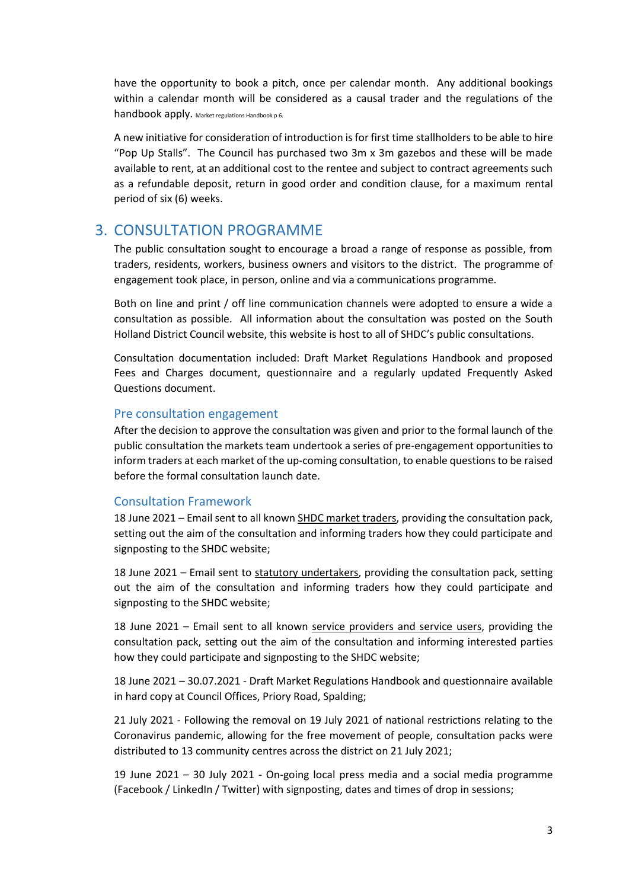have the opportunity to book a pitch, once per calendar month. Any additional bookings within a calendar month will be considered as a causal trader and the regulations of the handbook apply. Market regulations Handbook p 6.

A new initiative for consideration of introduction is for first time stallholders to be able to hire "Pop Up Stalls". The Council has purchased two 3m x 3m gazebos and these will be made available to rent, at an additional cost to the rentee and subject to contract agreements such as a refundable deposit, return in good order and condition clause, for a maximum rental period of six (6) weeks.

## <span id="page-2-0"></span>3. CONSULTATION PROGRAMME

The public consultation sought to encourage a broad a range of response as possible, from traders, residents, workers, business owners and visitors to the district. The programme of engagement took place, in person, online and via a communications programme.

Both on line and print / off line communication channels were adopted to ensure a wide a consultation as possible. All information about the consultation was posted on the South Holland District Council website, this website is host to all of SHDC's public consultations.

Consultation documentation included: Draft Market Regulations Handbook and proposed Fees and Charges document, questionnaire and a regularly updated Frequently Asked Questions document.

#### <span id="page-2-1"></span>Pre consultation engagement

After the decision to approve the consultation was given and prior to the formal launch of the public consultation the markets team undertook a series of pre-engagement opportunities to inform traders at each market of the up-coming consultation, to enable questions to be raised before the formal consultation launch date.

#### <span id="page-2-2"></span>Consultation Framework

18 June 2021 – Email sent to all known SHDC market traders, providing the consultation pack, setting out the aim of the consultation and informing traders how they could participate and signposting to the SHDC website;

18 June 2021 – Email sent to statutory undertakers, providing the consultation pack, setting out the aim of the consultation and informing traders how they could participate and signposting to the SHDC website;

18 June 2021 – Email sent to all known service providers and service users, providing the consultation pack, setting out the aim of the consultation and informing interested parties how they could participate and signposting to the SHDC website;

18 June 2021 – 30.07.2021 - Draft Market Regulations Handbook and questionnaire available in hard copy at Council Offices, Priory Road, Spalding;

21 July 2021 - Following the removal on 19 July 2021 of national restrictions relating to the Coronavirus pandemic, allowing for the free movement of people, consultation packs were distributed to 13 community centres across the district on 21 July 2021;

19 June 2021 – 30 July 2021 - On-going local press media and a social media programme (Facebook / LinkedIn / Twitter) with signposting, dates and times of drop in sessions;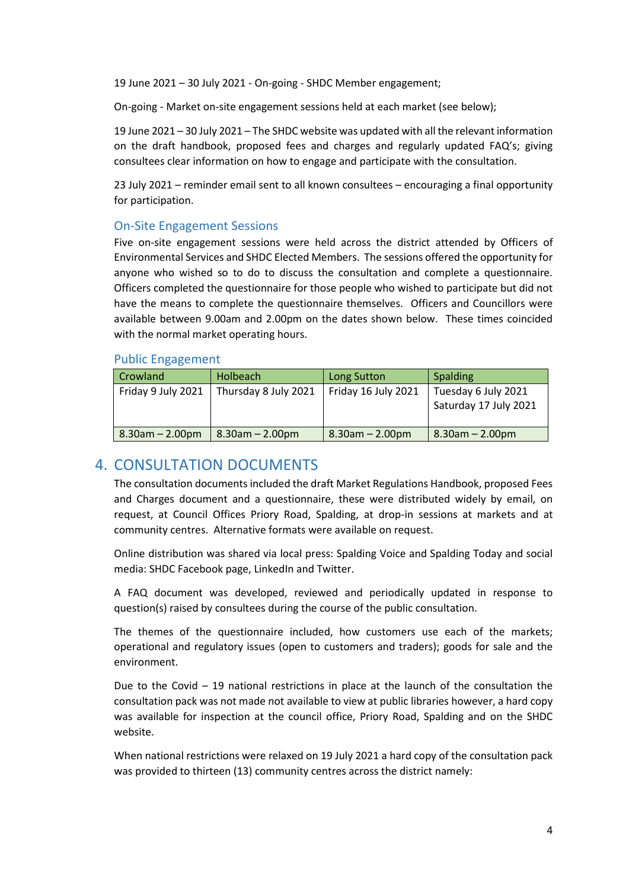19 June 2021 – 30 July 2021 - On-going - SHDC Member engagement;

On-going - Market on-site engagement sessions held at each market (see below);

19 June 2021 – 30 July 2021 – The SHDC website was updated with all the relevant information on the draft handbook, proposed fees and charges and regularly updated FAQ's; giving consultees clear information on how to engage and participate with the consultation.

23 July 2021 – reminder email sent to all known consultees – encouraging a final opportunity for participation.

#### <span id="page-3-0"></span>On-Site Engagement Sessions

Five on-site engagement sessions were held across the district attended by Officers of Environmental Services and SHDC Elected Members. The sessions offered the opportunity for anyone who wished so to do to discuss the consultation and complete a questionnaire. Officers completed the questionnaire for those people who wished to participate but did not have the means to complete the questionnaire themselves. Officers and Councillors were available between 9.00am and 2.00pm on the dates shown below. These times coincided with the normal market operating hours.

#### <span id="page-3-1"></span>Public Engagement

| Crowland              | Holbeach              | <b>Long Sutton</b>    | <b>Spalding</b>                              |
|-----------------------|-----------------------|-----------------------|----------------------------------------------|
| Friday 9 July 2021    | Thursday 8 July 2021  | Friday 16 July 2021   | Tuesday 6 July 2021<br>Saturday 17 July 2021 |
| $8.30$ am $- 2.00$ pm | $8.30$ am $- 2.00$ pm | $8.30$ am $- 2.00$ pm | $8.30$ am $- 2.00$ pm                        |

## <span id="page-3-2"></span>4. CONSULTATION DOCUMENTS

The consultation documents included the draft Market Regulations Handbook, proposed Fees and Charges document and a questionnaire, these were distributed widely by email, on request, at Council Offices Priory Road, Spalding, at drop-in sessions at markets and at community centres. Alternative formats were available on request.

Online distribution was shared via local press: Spalding Voice and Spalding Today and social media: SHDC Facebook page, LinkedIn and Twitter.

A FAQ document was developed, reviewed and periodically updated in response to question(s) raised by consultees during the course of the public consultation.

The themes of the questionnaire included, how customers use each of the markets; operational and regulatory issues (open to customers and traders); goods for sale and the environment.

Due to the Covid  $-19$  national restrictions in place at the launch of the consultation the consultation pack was not made not available to view at public libraries however, a hard copy was available for inspection at the council office, Priory Road, Spalding and on the SHDC website.

When national restrictions were relaxed on 19 July 2021 a hard copy of the consultation pack was provided to thirteen (13) community centres across the district namely: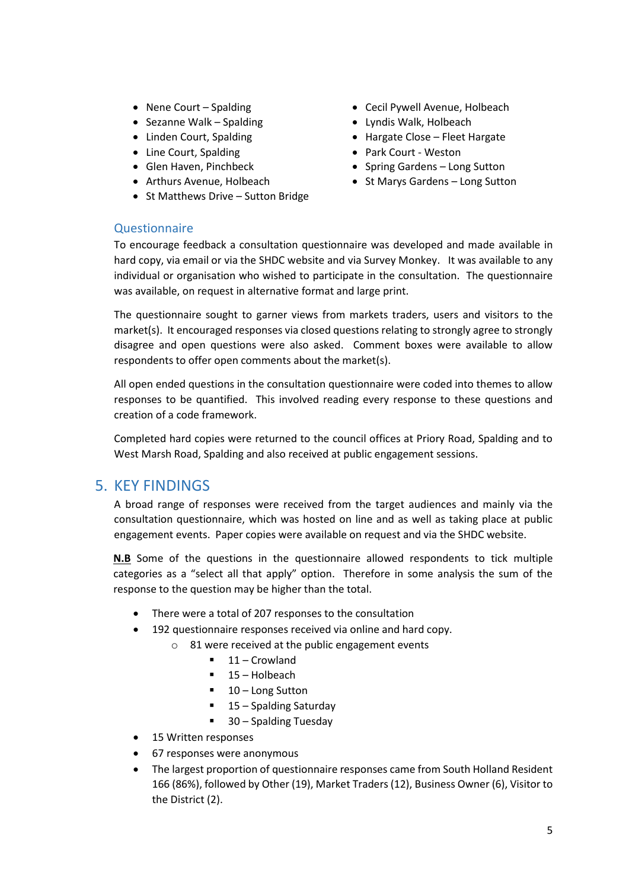- 
- Sezanne Walk Spalding entitled a second value of the Sezanne Walk Spalding
- 
- Line Court, Spalding  **Park Court Weston**
- 
- 
- St Matthews Drive Sutton Bridge
- Nene Court Spalding entitled a court of the Cecil Pywell Avenue, Holbeach
	-
- Linden Court, Spalding  **Hargate Close Fleet Hargate** 
	-
- Glen Haven, Pinchbeck Spring Gardens Long Sutton
- Arthurs Avenue, Holbeach St Marys Gardens Long Sutton

#### <span id="page-4-0"></span>**Ouestionnaire**

To encourage feedback a consultation questionnaire was developed and made available in hard copy, via email or via the SHDC website and via Survey Monkey. It was available to any individual or organisation who wished to participate in the consultation. The questionnaire was available, on request in alternative format and large print.

The questionnaire sought to garner views from markets traders, users and visitors to the market(s). It encouraged responses via closed questions relating to strongly agree to strongly disagree and open questions were also asked. Comment boxes were available to allow respondents to offer open comments about the market(s).

All open ended questions in the consultation questionnaire were coded into themes to allow responses to be quantified. This involved reading every response to these questions and creation of a code framework.

Completed hard copies were returned to the council offices at Priory Road, Spalding and to West Marsh Road, Spalding and also received at public engagement sessions.

## <span id="page-4-1"></span>5. KEY FINDINGS

A broad range of responses were received from the target audiences and mainly via the consultation questionnaire, which was hosted on line and as well as taking place at public engagement events. Paper copies were available on request and via the SHDC website.

**N.B** Some of the questions in the questionnaire allowed respondents to tick multiple categories as a "select all that apply" option. Therefore in some analysis the sum of the response to the question may be higher than the total.

- There were a total of 207 responses to the consultation
- 192 questionnaire responses received via online and hard copy.
	- o 81 were received at the public engagement events
		- 11 Crowland
		- $\blacksquare$  15 Holbeach
		- 10 Long Sutton
		- 15 Spalding Saturday
		- 30 Spalding Tuesday
- 15 Written responses
- 67 responses were anonymous
- The largest proportion of questionnaire responses came from South Holland Resident 166 (86%), followed by Other (19), Market Traders (12), Business Owner (6), Visitor to the District (2).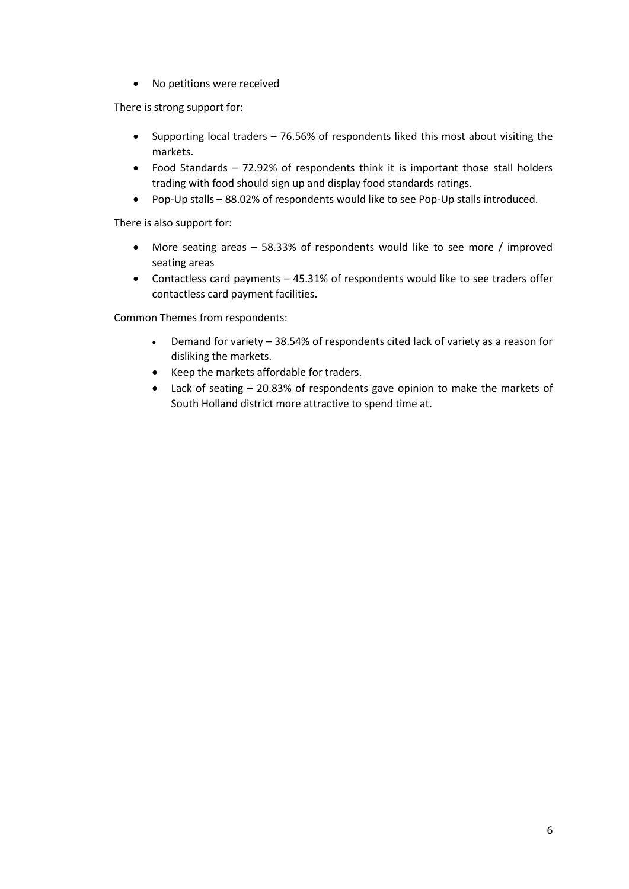• No petitions were received

There is strong support for:

- Supporting local traders 76.56% of respondents liked this most about visiting the markets.
- Food Standards 72.92% of respondents think it is important those stall holders trading with food should sign up and display food standards ratings.
- Pop-Up stalls 88.02% of respondents would like to see Pop-Up stalls introduced.

There is also support for:

- More seating areas 58.33% of respondents would like to see more / improved seating areas
- Contactless card payments 45.31% of respondents would like to see traders offer contactless card payment facilities.

Common Themes from respondents:

- Demand for variety 38.54% of respondents cited lack of variety as a reason for disliking the markets.
- Keep the markets affordable for traders.
- Lack of seating 20.83% of respondents gave opinion to make the markets of South Holland district more attractive to spend time at.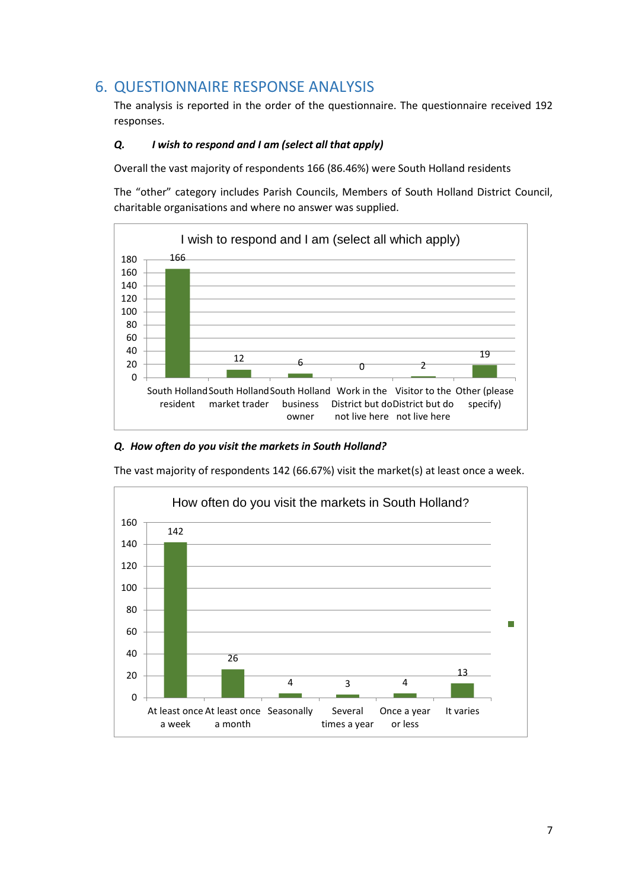## <span id="page-6-0"></span>6. QUESTIONNAIRE RESPONSE ANALYSIS

The analysis is reported in the order of the questionnaire. The questionnaire received 192 responses.

#### *Q. I wish to respond and I am (select all that apply)*

Overall the vast majority of respondents 166 (86.46%) were South Holland residents

The "other" category includes Parish Councils, Members of South Holland District Council, charitable organisations and where no answer was supplied.



#### *Q. How often do you visit the markets in South Holland?*

The vast majority of respondents 142 (66.67%) visit the market(s) at least once a week.

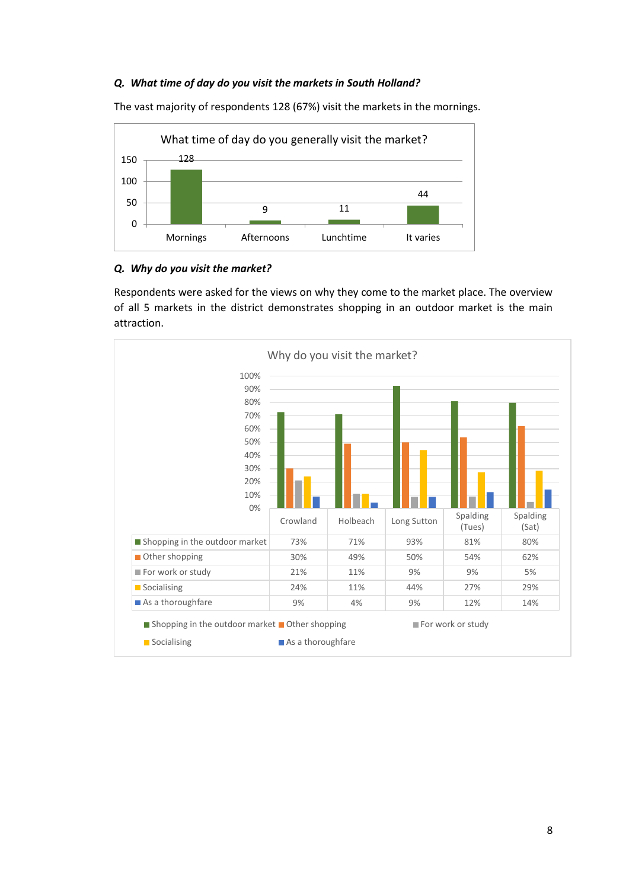#### *Q. What time of day do you visit the markets in South Holland?*



The vast majority of respondents 128 (67%) visit the markets in the mornings.

#### *Q. Why do you visit the market?*

Respondents were asked for the views on why they come to the market place. The overview of all 5 markets in the district demonstrates shopping in an outdoor market is the main attraction.

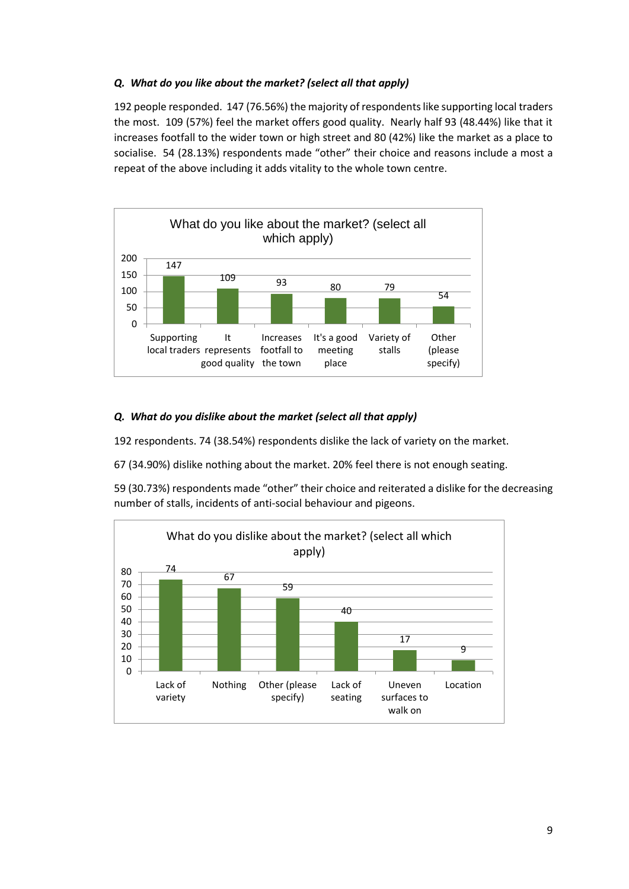#### *Q. What do you like about the market? (select all that apply)*

192 people responded. 147 (76.56%) the majority of respondents like supporting local traders the most. 109 (57%) feel the market offers good quality. Nearly half 93 (48.44%) like that it increases footfall to the wider town or high street and 80 (42%) like the market as a place to socialise. 54 (28.13%) respondents made "other" their choice and reasons include a most a repeat of the above including it adds vitality to the whole town centre.



#### *Q. What do you dislike about the market (select all that apply)*

192 respondents. 74 (38.54%) respondents dislike the lack of variety on the market.

67 (34.90%) dislike nothing about the market. 20% feel there is not enough seating.

59 (30.73%) respondents made "other" their choice and reiterated a dislike for the decreasing number of stalls, incidents of anti-social behaviour and pigeons.

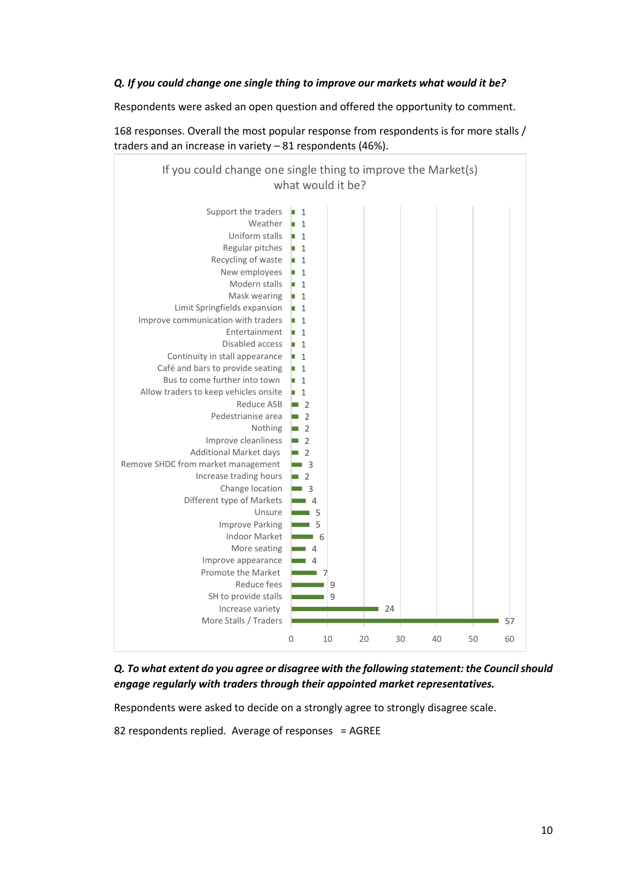#### *Q. If you could change one single thing to improve our markets what would it be?*

Respondents were asked an open question and offered the opportunity to comment.

168 responses. Overall the most popular response from respondents is for more stalls / traders and an increase in variety – 81 respondents (46%).



*Q. To what extent do you agree or disagree with the following statement: the Council should engage regularly with traders through their appointed market representatives.*

Respondents were asked to decide on a strongly agree to strongly disagree scale.

82 respondents replied. Average of responses = AGREE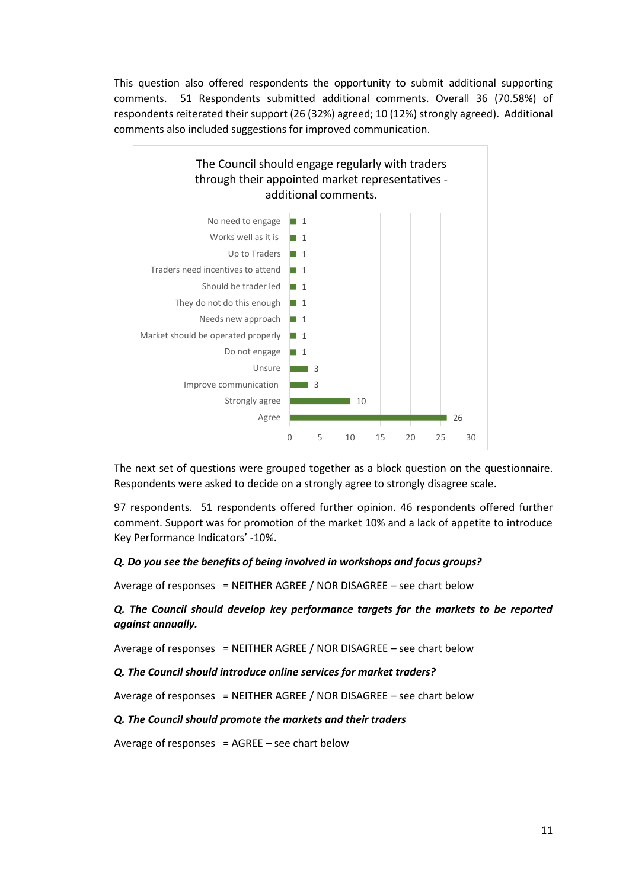This question also offered respondents the opportunity to submit additional supporting comments. 51 Respondents submitted additional comments. Overall 36 (70.58%) of respondents reiterated their support (26 (32%) agreed; 10 (12%) strongly agreed). Additional comments also included suggestions for improved communication.



The next set of questions were grouped together as a block question on the questionnaire. Respondents were asked to decide on a strongly agree to strongly disagree scale.

97 respondents. 51 respondents offered further opinion. 46 respondents offered further comment. Support was for promotion of the market 10% and a lack of appetite to introduce Key Performance Indicators' -10%.

#### *Q. Do you see the benefits of being involved in workshops and focus groups?*

Average of responses = NEITHER AGREE / NOR DISAGREE – see chart below

#### *Q. The Council should develop key performance targets for the markets to be reported against annually.*

Average of responses = NEITHER AGREE / NOR DISAGREE – see chart below

#### *Q. The Council should introduce online services for market traders?*

Average of responses = NEITHER AGREE / NOR DISAGREE – see chart below

#### *Q. The Council should promote the markets and their traders*

Average of responses =  $AGREE - see$  chart below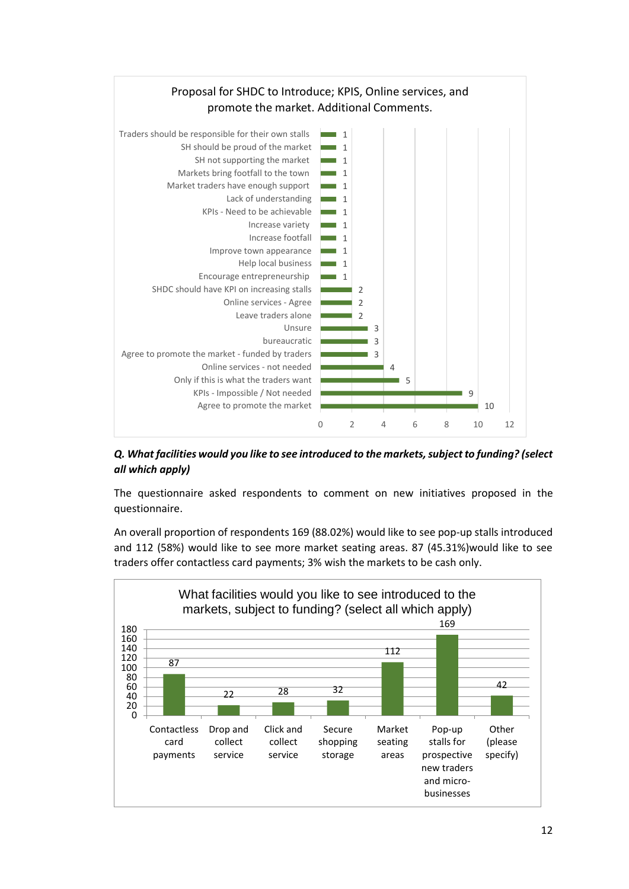

*Q. What facilities would you like to see introduced to the markets, subject to funding? (select all which apply)*

The questionnaire asked respondents to comment on new initiatives proposed in the questionnaire.

An overall proportion of respondents 169 (88.02%) would like to see pop-up stalls introduced and 112 (58%) would like to see more market seating areas. 87 (45.31%)would like to see traders offer contactless card payments; 3% wish the markets to be cash only.

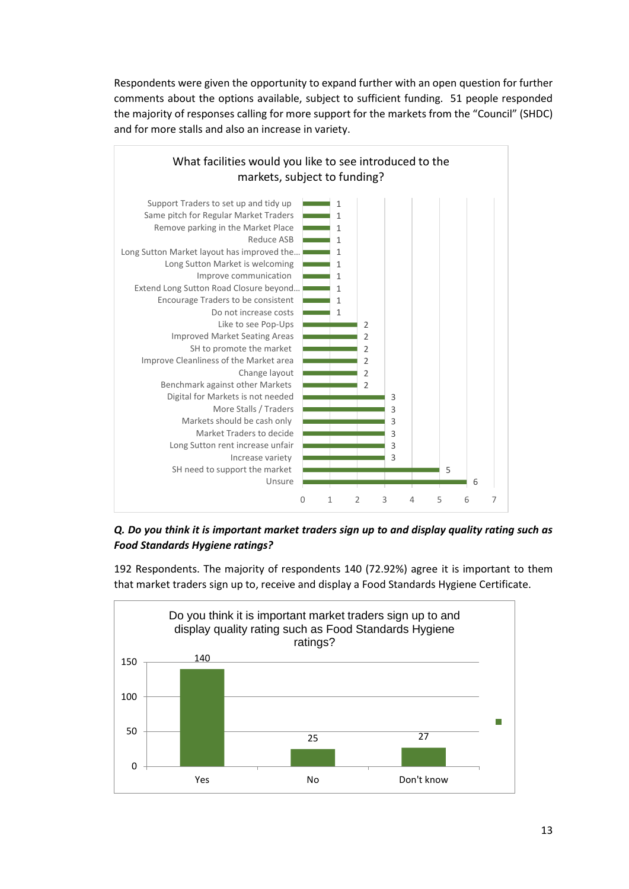Respondents were given the opportunity to expand further with an open question for further comments about the options available, subject to sufficient funding. 51 people responded the majority of responses calling for more support for the markets from the "Council" (SHDC) and for more stalls and also an increase in variety.



*Q. Do you think it is important market traders sign up to and display quality rating such as Food Standards Hygiene ratings?*

192 Respondents. The majority of respondents 140 (72.92%) agree it is important to them that market traders sign up to, receive and display a Food Standards Hygiene Certificate.

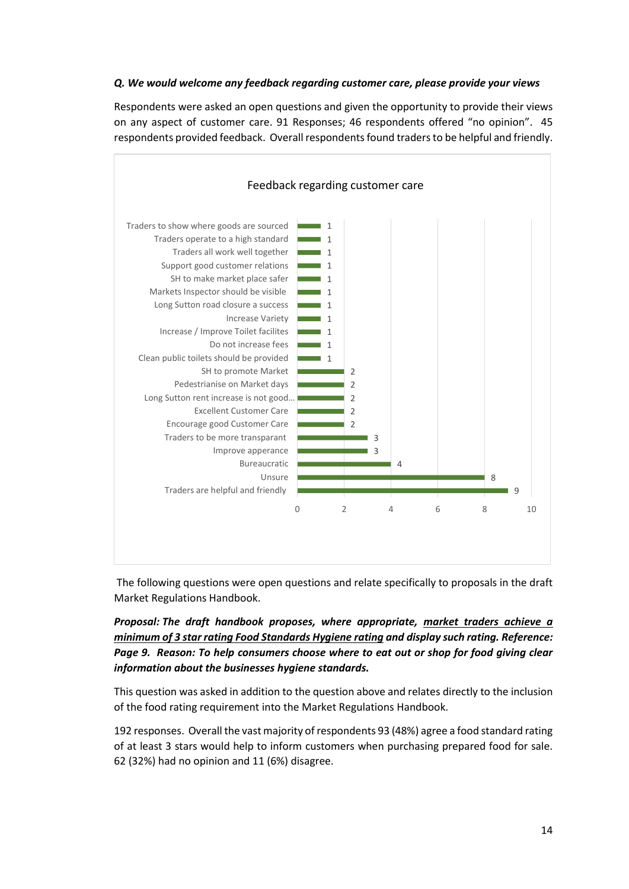#### *Q. We would welcome any feedback regarding customer care, please provide your views*

Respondents were asked an open questions and given the opportunity to provide their views on any aspect of customer care. 91 Responses; 46 respondents offered "no opinion". 45 respondents provided feedback. Overall respondents found traders to be helpful and friendly.



The following questions were open questions and relate specifically to proposals in the draft Market Regulations Handbook.

#### *Proposal: The draft handbook proposes, where appropriate, market traders achieve a minimum of 3 star rating Food Standards Hygiene rating and display such rating. Reference: Page 9. Reason: To help consumers choose where to eat out or shop for food giving clear information about the businesses hygiene standards.*

This question was asked in addition to the question above and relates directly to the inclusion of the food rating requirement into the Market Regulations Handbook.

192 responses. Overall the vast majority of respondents 93 (48%) agree a food standard rating of at least 3 stars would help to inform customers when purchasing prepared food for sale. 62 (32%) had no opinion and 11 (6%) disagree.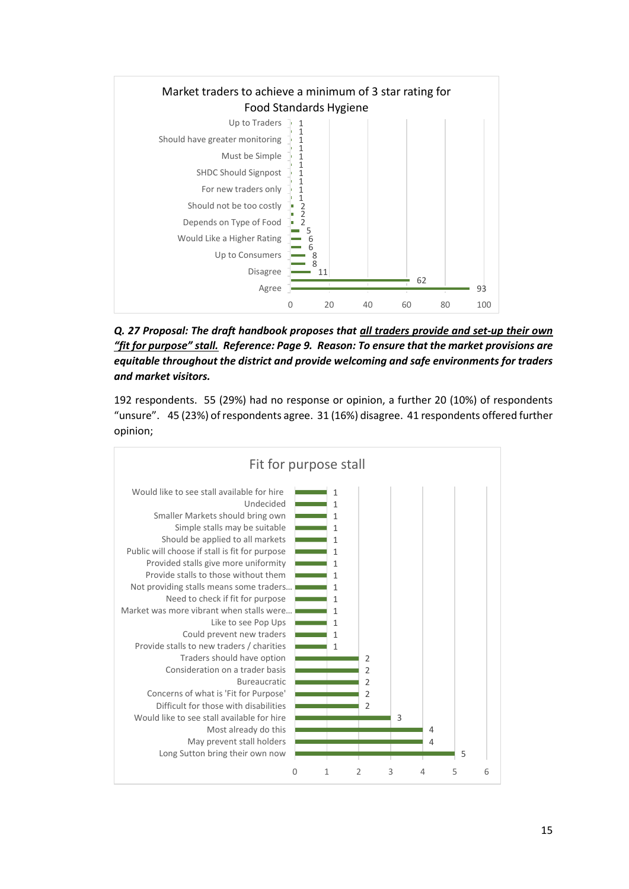

*Q. 27 Proposal: The draft handbook proposes that all traders provide and set-up their own "fit for purpose" stall. Reference: Page 9. Reason: To ensure that the market provisions are equitable throughout the district and provide welcoming and safe environments for traders and market visitors.* 

192 respondents. 55 (29%) had no response or opinion, a further 20 (10%) of respondents "unsure". 45 (23%) of respondents agree. 31 (16%) disagree. 41 respondents offered further opinion;

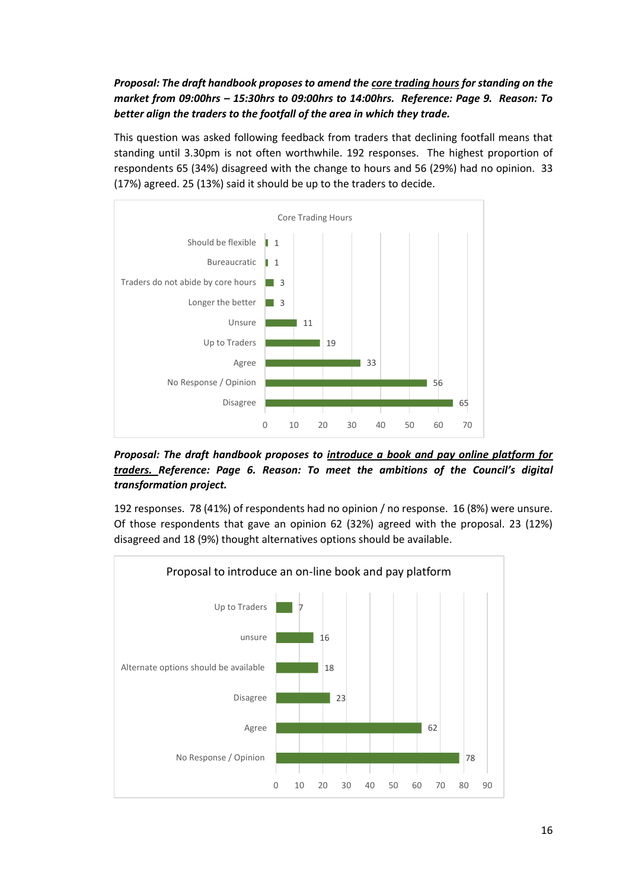*Proposal: The draft handbook proposes to amend the core trading hours for standing on the market from 09:00hrs – 15:30hrs to 09:00hrs to 14:00hrs. Reference: Page 9. Reason: To better align the traders to the footfall of the area in which they trade.* 

This question was asked following feedback from traders that declining footfall means that standing until 3.30pm is not often worthwhile. 192 responses. The highest proportion of respondents 65 (34%) disagreed with the change to hours and 56 (29%) had no opinion. 33 (17%) agreed. 25 (13%) said it should be up to the traders to decide.



*Proposal: The draft handbook proposes to introduce a book and pay online platform for traders. Reference: Page 6. Reason: To meet the ambitions of the Council's digital transformation project.* 

192 responses. 78 (41%) of respondents had no opinion / no response. 16 (8%) were unsure. Of those respondents that gave an opinion 62 (32%) agreed with the proposal. 23 (12%) disagreed and 18 (9%) thought alternatives options should be available.

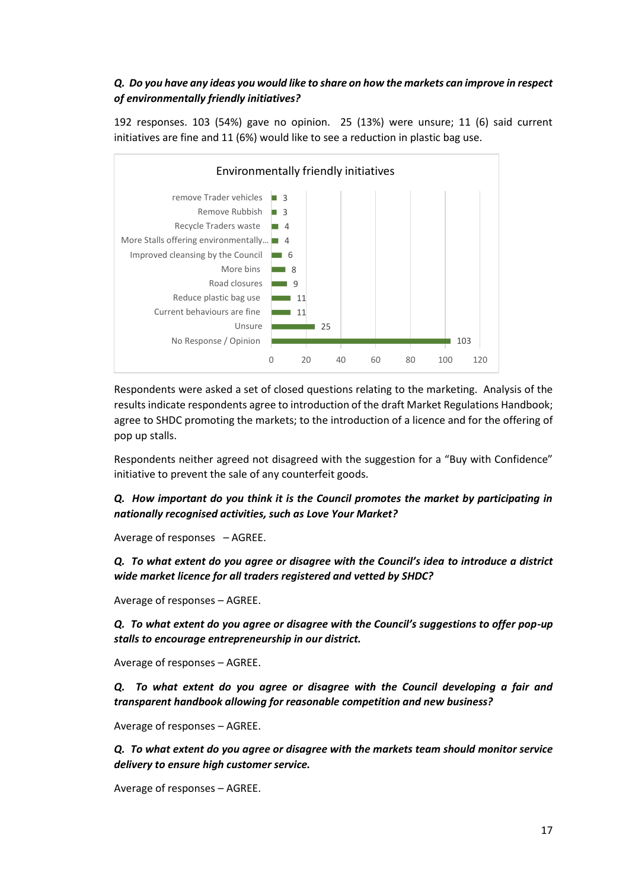#### *Q. Do you have any ideas you would like to share on how the markets can improve in respect of environmentally friendly initiatives?*

192 responses. 103 (54%) gave no opinion. 25 (13%) were unsure; 11 (6) said current initiatives are fine and 11 (6%) would like to see a reduction in plastic bag use.



Respondents were asked a set of closed questions relating to the marketing. Analysis of the results indicate respondents agree to introduction of the draft Market Regulations Handbook; agree to SHDC promoting the markets; to the introduction of a licence and for the offering of pop up stalls.

Respondents neither agreed not disagreed with the suggestion for a "Buy with Confidence" initiative to prevent the sale of any counterfeit goods.

*Q. How important do you think it is the Council promotes the market by participating in nationally recognised activities, such as Love Your Market?*

Average of responses – AGREE.

*Q. To what extent do you agree or disagree with the Council's idea to introduce a district wide market licence for all traders registered and vetted by SHDC?*

Average of responses – AGREE.

*Q. To what extent do you agree or disagree with the Council's suggestions to offer pop-up stalls to encourage entrepreneurship in our district.*

Average of responses – AGREE.

*Q. To what extent do you agree or disagree with the Council developing a fair and transparent handbook allowing for reasonable competition and new business?*

Average of responses – AGREE.

*Q. To what extent do you agree or disagree with the markets team should monitor service delivery to ensure high customer service.*

Average of responses – AGREE.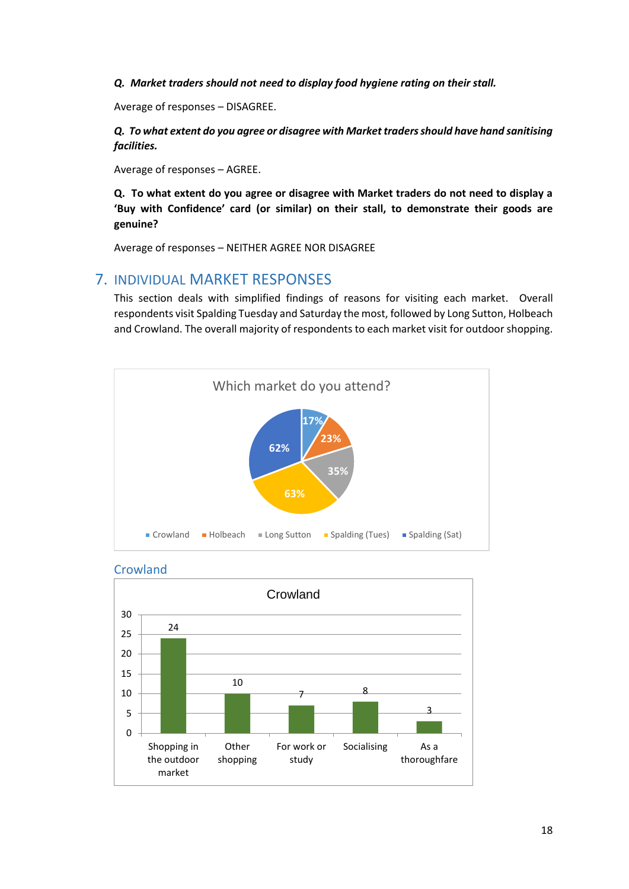*Q. Market traders should not need to display food hygiene rating on their stall.*

Average of responses – DISAGREE.

*Q. To what extent do you agree or disagree with Market traders should have hand sanitising facilities.*

Average of responses – AGREE.

**Q. To what extent do you agree or disagree with Market traders do not need to display a 'Buy with Confidence' card (or similar) on their stall, to demonstrate their goods are genuine?**

Average of responses – NEITHER AGREE NOR DISAGREE

## <span id="page-17-0"></span>7. INDIVIDUAL MARKET RESPONSES

This section deals with simplified findings of reasons for visiting each market. Overall respondents visit Spalding Tuesday and Saturday the most, followed by Long Sutton, Holbeach and Crowland. The overall majority of respondents to each market visit for outdoor shopping.





<span id="page-17-1"></span>**Crowland**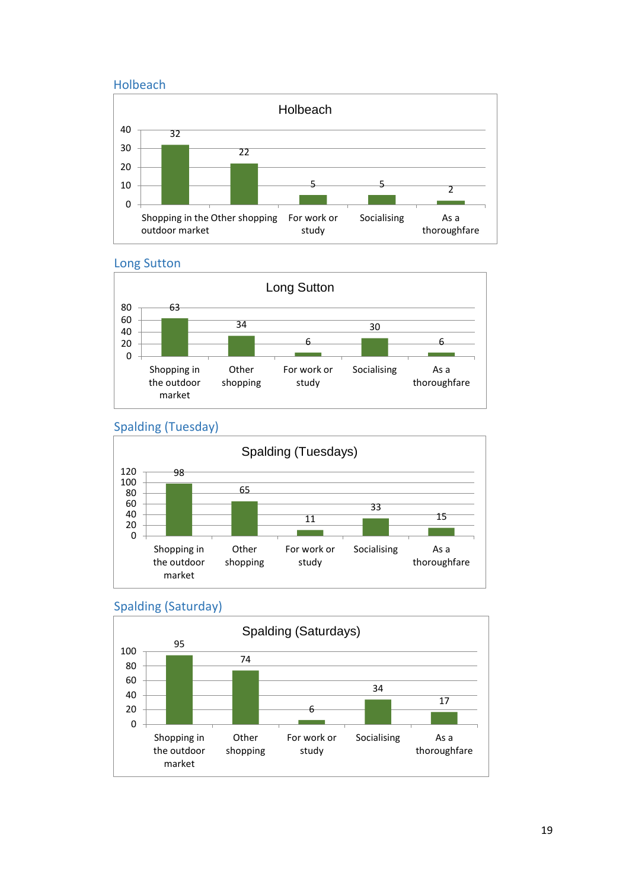<span id="page-18-0"></span>



<span id="page-18-1"></span>



### <span id="page-18-2"></span>Spalding (Tuesday)



### <span id="page-18-3"></span>Spalding (Saturday)

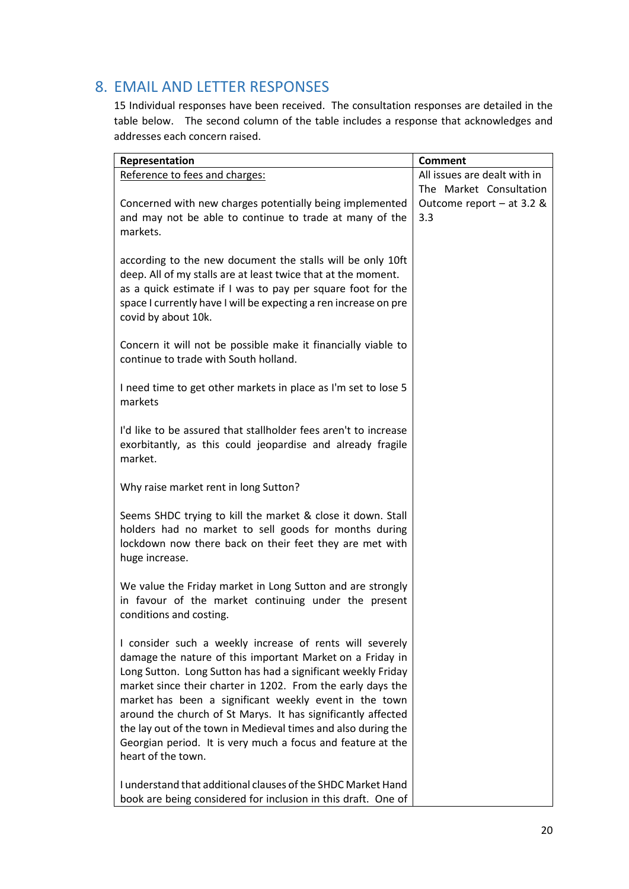## <span id="page-19-0"></span>8. EMAIL AND LETTER RESPONSES

15 Individual responses have been received. The consultation responses are detailed in the table below. The second column of the table includes a response that acknowledges and addresses each concern raised.

| Representation                                                   | <b>Comment</b>               |
|------------------------------------------------------------------|------------------------------|
| Reference to fees and charges:                                   | All issues are dealt with in |
|                                                                  | The Market Consultation      |
| Concerned with new charges potentially being implemented         | Outcome report $-$ at 3.2 &  |
| and may not be able to continue to trade at many of the          | 3.3                          |
| markets.                                                         |                              |
|                                                                  |                              |
| according to the new document the stalls will be only 10ft       |                              |
| deep. All of my stalls are at least twice that at the moment.    |                              |
| as a quick estimate if I was to pay per square foot for the      |                              |
| space I currently have I will be expecting a ren increase on pre |                              |
| covid by about 10k.                                              |                              |
|                                                                  |                              |
| Concern it will not be possible make it financially viable to    |                              |
| continue to trade with South holland.                            |                              |
|                                                                  |                              |
| I need time to get other markets in place as I'm set to lose 5   |                              |
| markets                                                          |                              |
| I'd like to be assured that stallholder fees aren't to increase  |                              |
| exorbitantly, as this could jeopardise and already fragile       |                              |
| market.                                                          |                              |
|                                                                  |                              |
| Why raise market rent in long Sutton?                            |                              |
|                                                                  |                              |
| Seems SHDC trying to kill the market & close it down. Stall      |                              |
| holders had no market to sell goods for months during            |                              |
| lockdown now there back on their feet they are met with          |                              |
| huge increase.                                                   |                              |
|                                                                  |                              |
| We value the Friday market in Long Sutton and are strongly       |                              |
| in favour of the market continuing under the present             |                              |
| conditions and costing.                                          |                              |
| I consider such a weekly increase of rents will severely         |                              |
| damage the nature of this important Market on a Friday in        |                              |
| Long Sutton. Long Sutton has had a significant weekly Friday     |                              |
| market since their charter in 1202. From the early days the      |                              |
| market has been a significant weekly event in the town           |                              |
| around the church of St Marys. It has significantly affected     |                              |
| the lay out of the town in Medieval times and also during the    |                              |
| Georgian period. It is very much a focus and feature at the      |                              |
| heart of the town.                                               |                              |
|                                                                  |                              |
| I understand that additional clauses of the SHDC Market Hand     |                              |
| book are being considered for inclusion in this draft. One of    |                              |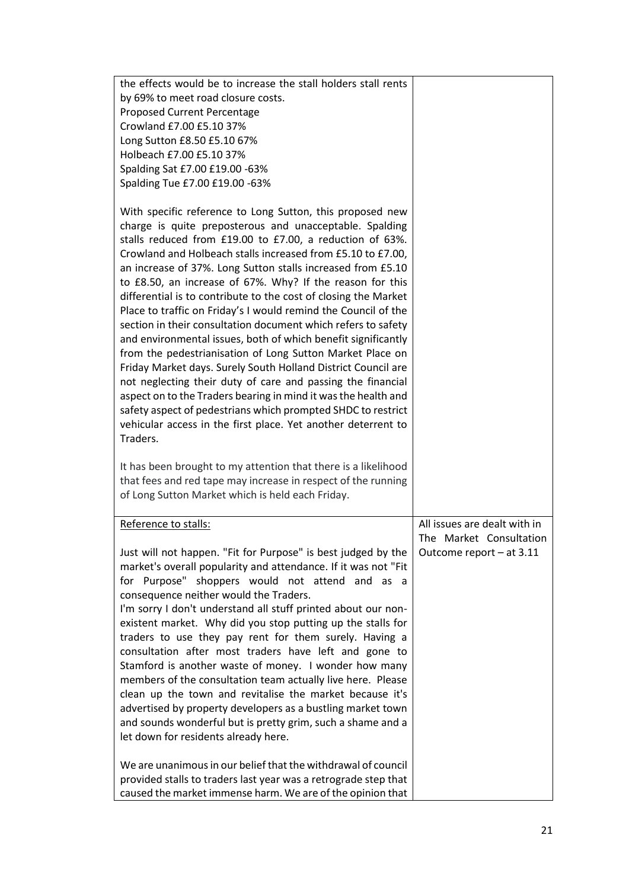| <b>Proposed Current Percentage</b><br>Crowland £7.00 £5.10 37%<br>Long Sutton £8.50 £5.10 67%<br>Holbeach £7.00 £5.10 37%<br>Spalding Sat £7.00 £19.00 -63%<br>Spalding Tue £7.00 £19.00 -63%<br>With specific reference to Long Sutton, this proposed new<br>charge is quite preposterous and unacceptable. Spalding<br>stalls reduced from £19.00 to £7.00, a reduction of 63%.<br>Crowland and Holbeach stalls increased from £5.10 to £7.00,<br>an increase of 37%. Long Sutton stalls increased from £5.10<br>to £8.50, an increase of 67%. Why? If the reason for this<br>differential is to contribute to the cost of closing the Market<br>Place to traffic on Friday's I would remind the Council of the<br>section in their consultation document which refers to safety<br>and environmental issues, both of which benefit significantly<br>from the pedestrianisation of Long Sutton Market Place on<br>Friday Market days. Surely South Holland District Council are<br>not neglecting their duty of care and passing the financial<br>aspect on to the Traders bearing in mind it was the health and<br>safety aspect of pedestrians which prompted SHDC to restrict<br>vehicular access in the first place. Yet another deterrent to<br>Traders.<br>It has been brought to my attention that there is a likelihood<br>that fees and red tape may increase in respect of the running<br>of Long Sutton Market which is held each Friday.<br>All issues are dealt with in<br>Reference to stalls:<br>The Market Consultation<br>Just will not happen. "Fit for Purpose" is best judged by the<br>Outcome report - at 3.11<br>market's overall popularity and attendance. If it was not "Fit<br>for Purpose" shoppers would not attend and as a<br>consequence neither would the Traders.<br>I'm sorry I don't understand all stuff printed about our non-<br>existent market. Why did you stop putting up the stalls for<br>traders to use they pay rent for them surely. Having a<br>consultation after most traders have left and gone to<br>Stamford is another waste of money. I wonder how many<br>members of the consultation team actually live here. Please<br>clean up the town and revitalise the market because it's<br>advertised by property developers as a bustling market town<br>and sounds wonderful but is pretty grim, such a shame and a<br>let down for residents already here.<br>We are unanimous in our belief that the withdrawal of council<br>provided stalls to traders last year was a retrograde step that | the effects would be to increase the stall holders stall rents |  |
|--------------------------------------------------------------------------------------------------------------------------------------------------------------------------------------------------------------------------------------------------------------------------------------------------------------------------------------------------------------------------------------------------------------------------------------------------------------------------------------------------------------------------------------------------------------------------------------------------------------------------------------------------------------------------------------------------------------------------------------------------------------------------------------------------------------------------------------------------------------------------------------------------------------------------------------------------------------------------------------------------------------------------------------------------------------------------------------------------------------------------------------------------------------------------------------------------------------------------------------------------------------------------------------------------------------------------------------------------------------------------------------------------------------------------------------------------------------------------------------------------------------------------------------------------------------------------------------------------------------------------------------------------------------------------------------------------------------------------------------------------------------------------------------------------------------------------------------------------------------------------------------------------------------------------------------------------------------------------------------------------------------------------------------------------------------------------------------------------------------------------------------------------------------------------------------------------------------------------------------------------------------------------------------------------------------------------------------------------------------------------------------------------------------------------------------------------------------------------------------------------------------------------------------------------------|----------------------------------------------------------------|--|
|                                                                                                                                                                                                                                                                                                                                                                                                                                                                                                                                                                                                                                                                                                                                                                                                                                                                                                                                                                                                                                                                                                                                                                                                                                                                                                                                                                                                                                                                                                                                                                                                                                                                                                                                                                                                                                                                                                                                                                                                                                                                                                                                                                                                                                                                                                                                                                                                                                                                                                                                                        | by 69% to meet road closure costs.                             |  |
|                                                                                                                                                                                                                                                                                                                                                                                                                                                                                                                                                                                                                                                                                                                                                                                                                                                                                                                                                                                                                                                                                                                                                                                                                                                                                                                                                                                                                                                                                                                                                                                                                                                                                                                                                                                                                                                                                                                                                                                                                                                                                                                                                                                                                                                                                                                                                                                                                                                                                                                                                        |                                                                |  |
|                                                                                                                                                                                                                                                                                                                                                                                                                                                                                                                                                                                                                                                                                                                                                                                                                                                                                                                                                                                                                                                                                                                                                                                                                                                                                                                                                                                                                                                                                                                                                                                                                                                                                                                                                                                                                                                                                                                                                                                                                                                                                                                                                                                                                                                                                                                                                                                                                                                                                                                                                        |                                                                |  |
|                                                                                                                                                                                                                                                                                                                                                                                                                                                                                                                                                                                                                                                                                                                                                                                                                                                                                                                                                                                                                                                                                                                                                                                                                                                                                                                                                                                                                                                                                                                                                                                                                                                                                                                                                                                                                                                                                                                                                                                                                                                                                                                                                                                                                                                                                                                                                                                                                                                                                                                                                        |                                                                |  |
|                                                                                                                                                                                                                                                                                                                                                                                                                                                                                                                                                                                                                                                                                                                                                                                                                                                                                                                                                                                                                                                                                                                                                                                                                                                                                                                                                                                                                                                                                                                                                                                                                                                                                                                                                                                                                                                                                                                                                                                                                                                                                                                                                                                                                                                                                                                                                                                                                                                                                                                                                        |                                                                |  |
|                                                                                                                                                                                                                                                                                                                                                                                                                                                                                                                                                                                                                                                                                                                                                                                                                                                                                                                                                                                                                                                                                                                                                                                                                                                                                                                                                                                                                                                                                                                                                                                                                                                                                                                                                                                                                                                                                                                                                                                                                                                                                                                                                                                                                                                                                                                                                                                                                                                                                                                                                        |                                                                |  |
|                                                                                                                                                                                                                                                                                                                                                                                                                                                                                                                                                                                                                                                                                                                                                                                                                                                                                                                                                                                                                                                                                                                                                                                                                                                                                                                                                                                                                                                                                                                                                                                                                                                                                                                                                                                                                                                                                                                                                                                                                                                                                                                                                                                                                                                                                                                                                                                                                                                                                                                                                        |                                                                |  |
|                                                                                                                                                                                                                                                                                                                                                                                                                                                                                                                                                                                                                                                                                                                                                                                                                                                                                                                                                                                                                                                                                                                                                                                                                                                                                                                                                                                                                                                                                                                                                                                                                                                                                                                                                                                                                                                                                                                                                                                                                                                                                                                                                                                                                                                                                                                                                                                                                                                                                                                                                        |                                                                |  |
|                                                                                                                                                                                                                                                                                                                                                                                                                                                                                                                                                                                                                                                                                                                                                                                                                                                                                                                                                                                                                                                                                                                                                                                                                                                                                                                                                                                                                                                                                                                                                                                                                                                                                                                                                                                                                                                                                                                                                                                                                                                                                                                                                                                                                                                                                                                                                                                                                                                                                                                                                        |                                                                |  |
|                                                                                                                                                                                                                                                                                                                                                                                                                                                                                                                                                                                                                                                                                                                                                                                                                                                                                                                                                                                                                                                                                                                                                                                                                                                                                                                                                                                                                                                                                                                                                                                                                                                                                                                                                                                                                                                                                                                                                                                                                                                                                                                                                                                                                                                                                                                                                                                                                                                                                                                                                        |                                                                |  |
|                                                                                                                                                                                                                                                                                                                                                                                                                                                                                                                                                                                                                                                                                                                                                                                                                                                                                                                                                                                                                                                                                                                                                                                                                                                                                                                                                                                                                                                                                                                                                                                                                                                                                                                                                                                                                                                                                                                                                                                                                                                                                                                                                                                                                                                                                                                                                                                                                                                                                                                                                        |                                                                |  |
|                                                                                                                                                                                                                                                                                                                                                                                                                                                                                                                                                                                                                                                                                                                                                                                                                                                                                                                                                                                                                                                                                                                                                                                                                                                                                                                                                                                                                                                                                                                                                                                                                                                                                                                                                                                                                                                                                                                                                                                                                                                                                                                                                                                                                                                                                                                                                                                                                                                                                                                                                        |                                                                |  |
|                                                                                                                                                                                                                                                                                                                                                                                                                                                                                                                                                                                                                                                                                                                                                                                                                                                                                                                                                                                                                                                                                                                                                                                                                                                                                                                                                                                                                                                                                                                                                                                                                                                                                                                                                                                                                                                                                                                                                                                                                                                                                                                                                                                                                                                                                                                                                                                                                                                                                                                                                        |                                                                |  |
|                                                                                                                                                                                                                                                                                                                                                                                                                                                                                                                                                                                                                                                                                                                                                                                                                                                                                                                                                                                                                                                                                                                                                                                                                                                                                                                                                                                                                                                                                                                                                                                                                                                                                                                                                                                                                                                                                                                                                                                                                                                                                                                                                                                                                                                                                                                                                                                                                                                                                                                                                        |                                                                |  |
|                                                                                                                                                                                                                                                                                                                                                                                                                                                                                                                                                                                                                                                                                                                                                                                                                                                                                                                                                                                                                                                                                                                                                                                                                                                                                                                                                                                                                                                                                                                                                                                                                                                                                                                                                                                                                                                                                                                                                                                                                                                                                                                                                                                                                                                                                                                                                                                                                                                                                                                                                        |                                                                |  |
|                                                                                                                                                                                                                                                                                                                                                                                                                                                                                                                                                                                                                                                                                                                                                                                                                                                                                                                                                                                                                                                                                                                                                                                                                                                                                                                                                                                                                                                                                                                                                                                                                                                                                                                                                                                                                                                                                                                                                                                                                                                                                                                                                                                                                                                                                                                                                                                                                                                                                                                                                        |                                                                |  |
|                                                                                                                                                                                                                                                                                                                                                                                                                                                                                                                                                                                                                                                                                                                                                                                                                                                                                                                                                                                                                                                                                                                                                                                                                                                                                                                                                                                                                                                                                                                                                                                                                                                                                                                                                                                                                                                                                                                                                                                                                                                                                                                                                                                                                                                                                                                                                                                                                                                                                                                                                        |                                                                |  |
|                                                                                                                                                                                                                                                                                                                                                                                                                                                                                                                                                                                                                                                                                                                                                                                                                                                                                                                                                                                                                                                                                                                                                                                                                                                                                                                                                                                                                                                                                                                                                                                                                                                                                                                                                                                                                                                                                                                                                                                                                                                                                                                                                                                                                                                                                                                                                                                                                                                                                                                                                        |                                                                |  |
|                                                                                                                                                                                                                                                                                                                                                                                                                                                                                                                                                                                                                                                                                                                                                                                                                                                                                                                                                                                                                                                                                                                                                                                                                                                                                                                                                                                                                                                                                                                                                                                                                                                                                                                                                                                                                                                                                                                                                                                                                                                                                                                                                                                                                                                                                                                                                                                                                                                                                                                                                        |                                                                |  |
|                                                                                                                                                                                                                                                                                                                                                                                                                                                                                                                                                                                                                                                                                                                                                                                                                                                                                                                                                                                                                                                                                                                                                                                                                                                                                                                                                                                                                                                                                                                                                                                                                                                                                                                                                                                                                                                                                                                                                                                                                                                                                                                                                                                                                                                                                                                                                                                                                                                                                                                                                        |                                                                |  |
|                                                                                                                                                                                                                                                                                                                                                                                                                                                                                                                                                                                                                                                                                                                                                                                                                                                                                                                                                                                                                                                                                                                                                                                                                                                                                                                                                                                                                                                                                                                                                                                                                                                                                                                                                                                                                                                                                                                                                                                                                                                                                                                                                                                                                                                                                                                                                                                                                                                                                                                                                        |                                                                |  |
|                                                                                                                                                                                                                                                                                                                                                                                                                                                                                                                                                                                                                                                                                                                                                                                                                                                                                                                                                                                                                                                                                                                                                                                                                                                                                                                                                                                                                                                                                                                                                                                                                                                                                                                                                                                                                                                                                                                                                                                                                                                                                                                                                                                                                                                                                                                                                                                                                                                                                                                                                        |                                                                |  |
|                                                                                                                                                                                                                                                                                                                                                                                                                                                                                                                                                                                                                                                                                                                                                                                                                                                                                                                                                                                                                                                                                                                                                                                                                                                                                                                                                                                                                                                                                                                                                                                                                                                                                                                                                                                                                                                                                                                                                                                                                                                                                                                                                                                                                                                                                                                                                                                                                                                                                                                                                        |                                                                |  |
|                                                                                                                                                                                                                                                                                                                                                                                                                                                                                                                                                                                                                                                                                                                                                                                                                                                                                                                                                                                                                                                                                                                                                                                                                                                                                                                                                                                                                                                                                                                                                                                                                                                                                                                                                                                                                                                                                                                                                                                                                                                                                                                                                                                                                                                                                                                                                                                                                                                                                                                                                        |                                                                |  |
|                                                                                                                                                                                                                                                                                                                                                                                                                                                                                                                                                                                                                                                                                                                                                                                                                                                                                                                                                                                                                                                                                                                                                                                                                                                                                                                                                                                                                                                                                                                                                                                                                                                                                                                                                                                                                                                                                                                                                                                                                                                                                                                                                                                                                                                                                                                                                                                                                                                                                                                                                        | caused the market immense harm. We are of the opinion that     |  |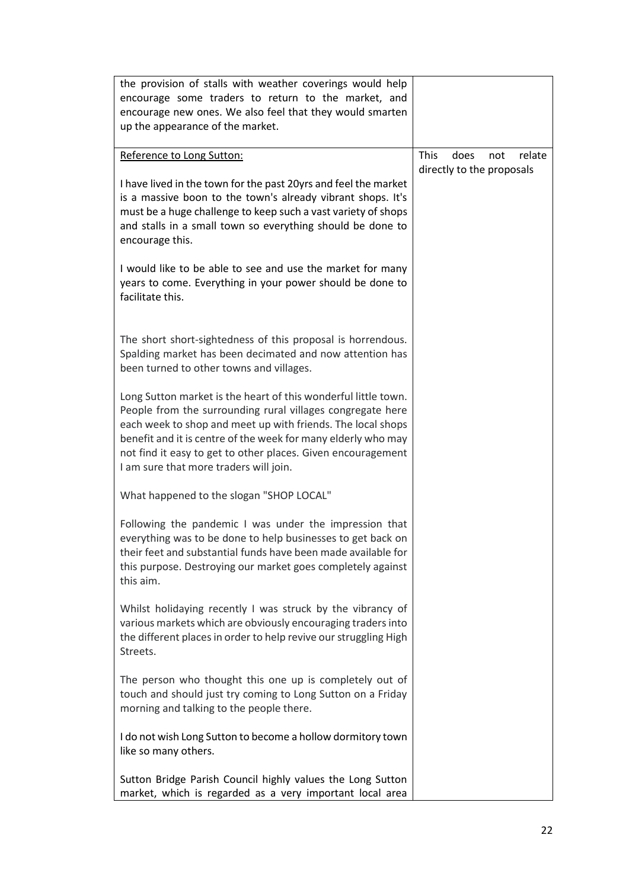| the provision of stalls with weather coverings would help<br>encourage some traders to return to the market, and<br>encourage new ones. We also feel that they would smarten<br>up the appearance of the market.                                                                                                                                                       |                                                                   |
|------------------------------------------------------------------------------------------------------------------------------------------------------------------------------------------------------------------------------------------------------------------------------------------------------------------------------------------------------------------------|-------------------------------------------------------------------|
| Reference to Long Sutton:                                                                                                                                                                                                                                                                                                                                              | <b>This</b><br>does<br>not<br>relate<br>directly to the proposals |
| I have lived in the town for the past 20yrs and feel the market<br>is a massive boon to the town's already vibrant shops. It's<br>must be a huge challenge to keep such a vast variety of shops<br>and stalls in a small town so everything should be done to<br>encourage this.                                                                                       |                                                                   |
| I would like to be able to see and use the market for many<br>years to come. Everything in your power should be done to<br>facilitate this.                                                                                                                                                                                                                            |                                                                   |
| The short short-sightedness of this proposal is horrendous.<br>Spalding market has been decimated and now attention has<br>been turned to other towns and villages.                                                                                                                                                                                                    |                                                                   |
| Long Sutton market is the heart of this wonderful little town.<br>People from the surrounding rural villages congregate here<br>each week to shop and meet up with friends. The local shops<br>benefit and it is centre of the week for many elderly who may<br>not find it easy to get to other places. Given encouragement<br>I am sure that more traders will join. |                                                                   |
| What happened to the slogan "SHOP LOCAL"                                                                                                                                                                                                                                                                                                                               |                                                                   |
| Following the pandemic I was under the impression that<br>everything was to be done to help businesses to get back on<br>their feet and substantial funds have been made available for<br>this purpose. Destroying our market goes completely against<br>this aim.                                                                                                     |                                                                   |
| Whilst holidaying recently I was struck by the vibrancy of<br>various markets which are obviously encouraging traders into<br>the different places in order to help revive our struggling High<br>Streets.                                                                                                                                                             |                                                                   |
| The person who thought this one up is completely out of<br>touch and should just try coming to Long Sutton on a Friday<br>morning and talking to the people there.                                                                                                                                                                                                     |                                                                   |
| I do not wish Long Sutton to become a hollow dormitory town<br>like so many others.                                                                                                                                                                                                                                                                                    |                                                                   |
| Sutton Bridge Parish Council highly values the Long Sutton<br>market, which is regarded as a very important local area                                                                                                                                                                                                                                                 |                                                                   |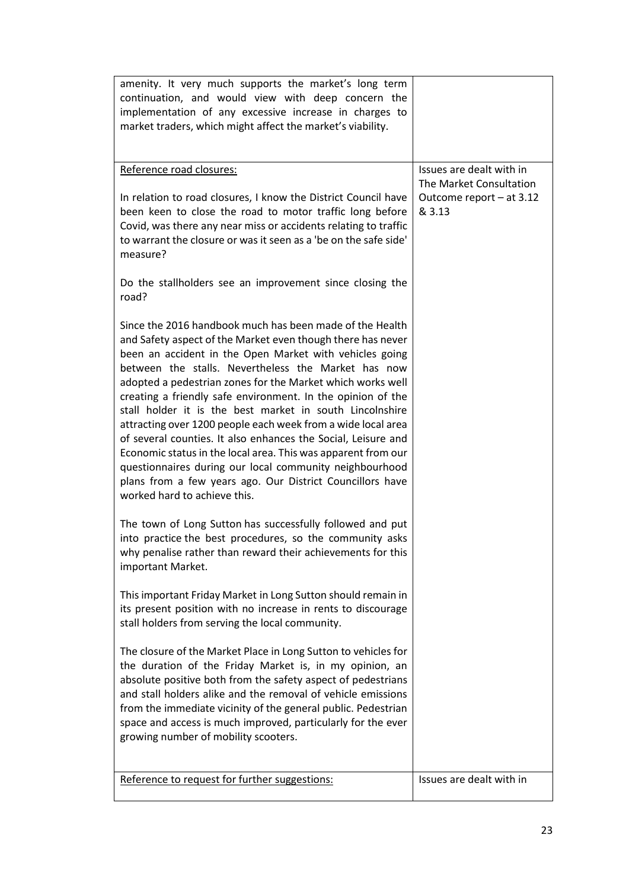| amenity. It very much supports the market's long term<br>continuation, and would view with deep concern the<br>implementation of any excessive increase in charges to<br>market traders, which might affect the market's viability.                                                                                                                                                                                                                                                                                                                                                                                                                                                                                                                                                          |                                                                                           |
|----------------------------------------------------------------------------------------------------------------------------------------------------------------------------------------------------------------------------------------------------------------------------------------------------------------------------------------------------------------------------------------------------------------------------------------------------------------------------------------------------------------------------------------------------------------------------------------------------------------------------------------------------------------------------------------------------------------------------------------------------------------------------------------------|-------------------------------------------------------------------------------------------|
| Reference road closures:<br>In relation to road closures, I know the District Council have<br>been keen to close the road to motor traffic long before<br>Covid, was there any near miss or accidents relating to traffic<br>to warrant the closure or was it seen as a 'be on the safe side'<br>measure?                                                                                                                                                                                                                                                                                                                                                                                                                                                                                    | Issues are dealt with in<br>The Market Consultation<br>Outcome report - at 3.12<br>& 3.13 |
| Do the stallholders see an improvement since closing the<br>road?                                                                                                                                                                                                                                                                                                                                                                                                                                                                                                                                                                                                                                                                                                                            |                                                                                           |
| Since the 2016 handbook much has been made of the Health<br>and Safety aspect of the Market even though there has never<br>been an accident in the Open Market with vehicles going<br>between the stalls. Nevertheless the Market has now<br>adopted a pedestrian zones for the Market which works well<br>creating a friendly safe environment. In the opinion of the<br>stall holder it is the best market in south Lincolnshire<br>attracting over 1200 people each week from a wide local area<br>of several counties. It also enhances the Social, Leisure and<br>Economic status in the local area. This was apparent from our<br>questionnaires during our local community neighbourhood<br>plans from a few years ago. Our District Councillors have<br>worked hard to achieve this. |                                                                                           |
| The town of Long Sutton has successfully followed and put<br>into practice the best procedures, so the community asks<br>why penalise rather than reward their achievements for this<br>important Market.                                                                                                                                                                                                                                                                                                                                                                                                                                                                                                                                                                                    |                                                                                           |
| This important Friday Market in Long Sutton should remain in<br>its present position with no increase in rents to discourage<br>stall holders from serving the local community.                                                                                                                                                                                                                                                                                                                                                                                                                                                                                                                                                                                                              |                                                                                           |
| The closure of the Market Place in Long Sutton to vehicles for<br>the duration of the Friday Market is, in my opinion, an<br>absolute positive both from the safety aspect of pedestrians<br>and stall holders alike and the removal of vehicle emissions<br>from the immediate vicinity of the general public. Pedestrian<br>space and access is much improved, particularly for the ever<br>growing number of mobility scooters.                                                                                                                                                                                                                                                                                                                                                           |                                                                                           |
| Reference to request for further suggestions:                                                                                                                                                                                                                                                                                                                                                                                                                                                                                                                                                                                                                                                                                                                                                | Issues are dealt with in                                                                  |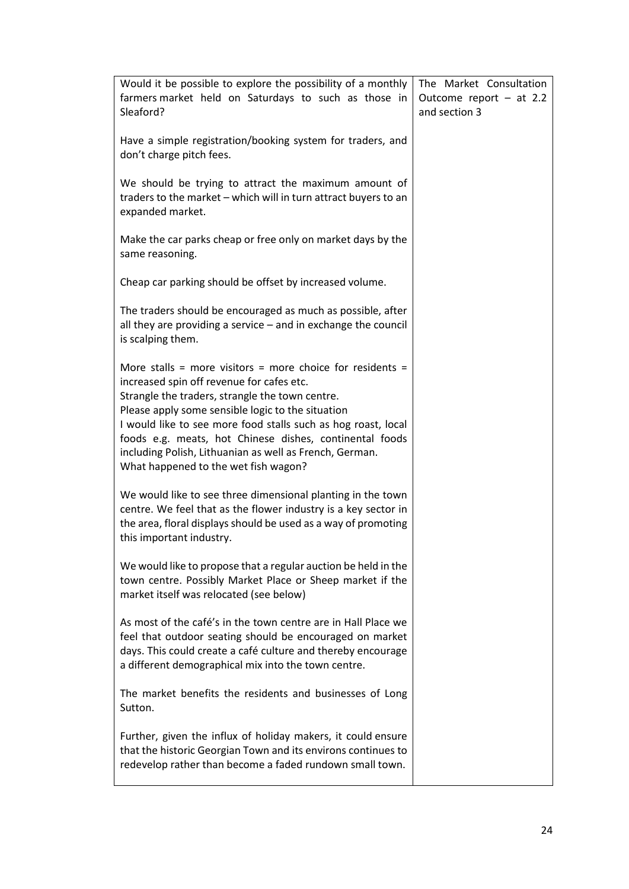| Would it be possible to explore the possibility of a monthly                                                                                                                                                                                                                                                                                                                                                                                  | The Market Consultation   |
|-----------------------------------------------------------------------------------------------------------------------------------------------------------------------------------------------------------------------------------------------------------------------------------------------------------------------------------------------------------------------------------------------------------------------------------------------|---------------------------|
| farmers market held on Saturdays to such as those in                                                                                                                                                                                                                                                                                                                                                                                          | Outcome report $-$ at 2.2 |
| Sleaford?                                                                                                                                                                                                                                                                                                                                                                                                                                     | and section 3             |
| Have a simple registration/booking system for traders, and<br>don't charge pitch fees.                                                                                                                                                                                                                                                                                                                                                        |                           |
| We should be trying to attract the maximum amount of<br>traders to the market - which will in turn attract buyers to an<br>expanded market.                                                                                                                                                                                                                                                                                                   |                           |
| Make the car parks cheap or free only on market days by the<br>same reasoning.                                                                                                                                                                                                                                                                                                                                                                |                           |
| Cheap car parking should be offset by increased volume.                                                                                                                                                                                                                                                                                                                                                                                       |                           |
| The traders should be encouraged as much as possible, after<br>all they are providing a service - and in exchange the council<br>is scalping them.                                                                                                                                                                                                                                                                                            |                           |
| More stalls = more visitors = more choice for residents =<br>increased spin off revenue for cafes etc.<br>Strangle the traders, strangle the town centre.<br>Please apply some sensible logic to the situation<br>I would like to see more food stalls such as hog roast, local<br>foods e.g. meats, hot Chinese dishes, continental foods<br>including Polish, Lithuanian as well as French, German.<br>What happened to the wet fish wagon? |                           |
| We would like to see three dimensional planting in the town<br>centre. We feel that as the flower industry is a key sector in<br>the area, floral displays should be used as a way of promoting<br>this important industry.                                                                                                                                                                                                                   |                           |
| We would like to propose that a regular auction be held in the<br>town centre. Possibly Market Place or Sheep market if the<br>market itself was relocated (see below)                                                                                                                                                                                                                                                                        |                           |
| As most of the café's in the town centre are in Hall Place we<br>feel that outdoor seating should be encouraged on market<br>days. This could create a café culture and thereby encourage<br>a different demographical mix into the town centre.                                                                                                                                                                                              |                           |
| The market benefits the residents and businesses of Long<br>Sutton.                                                                                                                                                                                                                                                                                                                                                                           |                           |
| Further, given the influx of holiday makers, it could ensure<br>that the historic Georgian Town and its environs continues to<br>redevelop rather than become a faded rundown small town.                                                                                                                                                                                                                                                     |                           |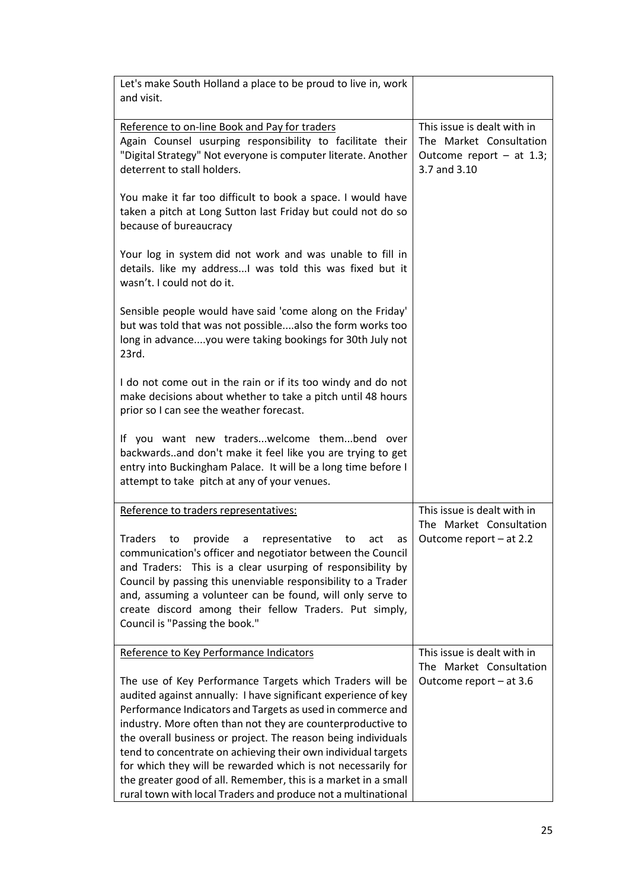| Let's make South Holland a place to be proud to live in, work<br>and visit.                                                                                                                                                                                                                                                                                                                                                                                                                                                                                                                  |                                                                                                      |
|----------------------------------------------------------------------------------------------------------------------------------------------------------------------------------------------------------------------------------------------------------------------------------------------------------------------------------------------------------------------------------------------------------------------------------------------------------------------------------------------------------------------------------------------------------------------------------------------|------------------------------------------------------------------------------------------------------|
| Reference to on-line Book and Pay for traders<br>Again Counsel usurping responsibility to facilitate their<br>"Digital Strategy" Not everyone is computer literate. Another<br>deterrent to stall holders.                                                                                                                                                                                                                                                                                                                                                                                   | This issue is dealt with in<br>The Market Consultation<br>Outcome report $-$ at 1.3;<br>3.7 and 3.10 |
| You make it far too difficult to book a space. I would have<br>taken a pitch at Long Sutton last Friday but could not do so<br>because of bureaucracy                                                                                                                                                                                                                                                                                                                                                                                                                                        |                                                                                                      |
| Your log in system did not work and was unable to fill in<br>details. like my address I was told this was fixed but it<br>wasn't. I could not do it.                                                                                                                                                                                                                                                                                                                                                                                                                                         |                                                                                                      |
| Sensible people would have said 'come along on the Friday'<br>but was told that was not possiblealso the form works too<br>long in advanceyou were taking bookings for 30th July not<br>23rd.                                                                                                                                                                                                                                                                                                                                                                                                |                                                                                                      |
| I do not come out in the rain or if its too windy and do not<br>make decisions about whether to take a pitch until 48 hours<br>prior so I can see the weather forecast.                                                                                                                                                                                                                                                                                                                                                                                                                      |                                                                                                      |
| If you want new traderswelcome thembend over<br>backwardsand don't make it feel like you are trying to get<br>entry into Buckingham Palace. It will be a long time before I<br>attempt to take pitch at any of your venues.                                                                                                                                                                                                                                                                                                                                                                  |                                                                                                      |
| Reference to traders representatives:                                                                                                                                                                                                                                                                                                                                                                                                                                                                                                                                                        | This issue is dealt with in                                                                          |
| Traders<br>provide<br>to<br>representative<br>to<br>a<br>act<br>as<br>communication's officer and negotiator between the Council<br>and Traders: This is a clear usurping of responsibility by<br>Council by passing this unenviable responsibility to a Trader<br>and, assuming a volunteer can be found, will only serve to<br>create discord among their fellow Traders. Put simply,<br>Council is "Passing the book."                                                                                                                                                                    | The Market Consultation<br>Outcome report - at 2.2                                                   |
| Reference to Key Performance Indicators                                                                                                                                                                                                                                                                                                                                                                                                                                                                                                                                                      | This issue is dealt with in<br>The Market Consultation                                               |
| The use of Key Performance Targets which Traders will be<br>audited against annually: I have significant experience of key<br>Performance Indicators and Targets as used in commerce and<br>industry. More often than not they are counterproductive to<br>the overall business or project. The reason being individuals<br>tend to concentrate on achieving their own individual targets<br>for which they will be rewarded which is not necessarily for<br>the greater good of all. Remember, this is a market in a small<br>rural town with local Traders and produce not a multinational | Outcome report - at 3.6                                                                              |